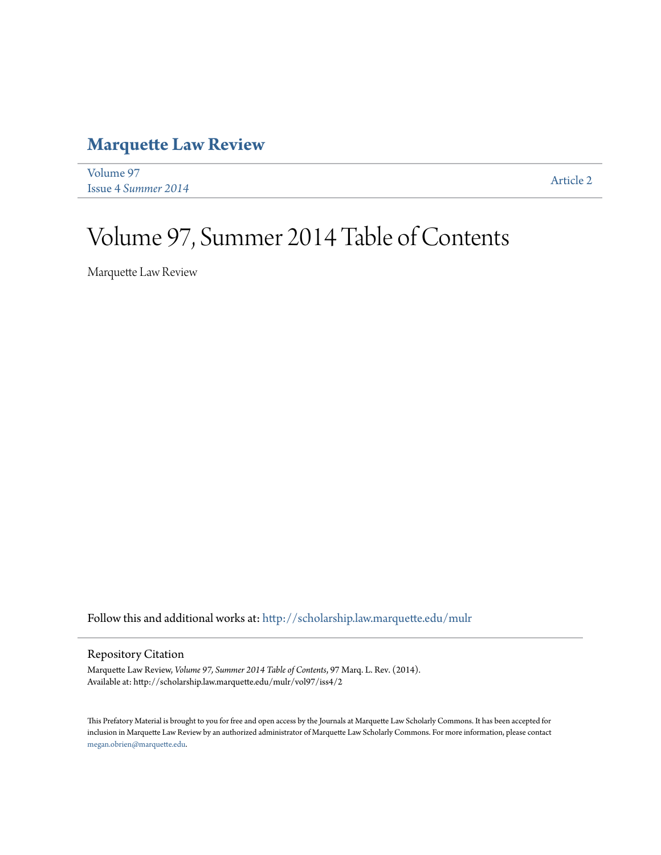## **[Marquette Law Review](http://scholarship.law.marquette.edu/mulr?utm_source=scholarship.law.marquette.edu%2Fmulr%2Fvol97%2Fiss4%2F2&utm_medium=PDF&utm_campaign=PDFCoverPages)**

[Volume 97](http://scholarship.law.marquette.edu/mulr/vol97?utm_source=scholarship.law.marquette.edu%2Fmulr%2Fvol97%2Fiss4%2F2&utm_medium=PDF&utm_campaign=PDFCoverPages) Issue 4 *[Summer 2014](http://scholarship.law.marquette.edu/mulr/vol97/iss4?utm_source=scholarship.law.marquette.edu%2Fmulr%2Fvol97%2Fiss4%2F2&utm_medium=PDF&utm_campaign=PDFCoverPages)* [Article 2](http://scholarship.law.marquette.edu/mulr/vol97/iss4/2?utm_source=scholarship.law.marquette.edu%2Fmulr%2Fvol97%2Fiss4%2F2&utm_medium=PDF&utm_campaign=PDFCoverPages)

## Volume 97, Summer 2014 Table of Contents

Marquette Law Review

Follow this and additional works at: [http://scholarship.law.marquette.edu/mulr](http://scholarship.law.marquette.edu/mulr?utm_source=scholarship.law.marquette.edu%2Fmulr%2Fvol97%2Fiss4%2F2&utm_medium=PDF&utm_campaign=PDFCoverPages)

## Repository Citation

Marquette Law Review, *Volume 97, Summer 2014 Table of Contents*, 97 Marq. L. Rev. (2014). Available at: http://scholarship.law.marquette.edu/mulr/vol97/iss4/2

This Prefatory Material is brought to you for free and open access by the Journals at Marquette Law Scholarly Commons. It has been accepted for inclusion in Marquette Law Review by an authorized administrator of Marquette Law Scholarly Commons. For more information, please contact [megan.obrien@marquette.edu.](mailto:megan.obrien@marquette.edu)